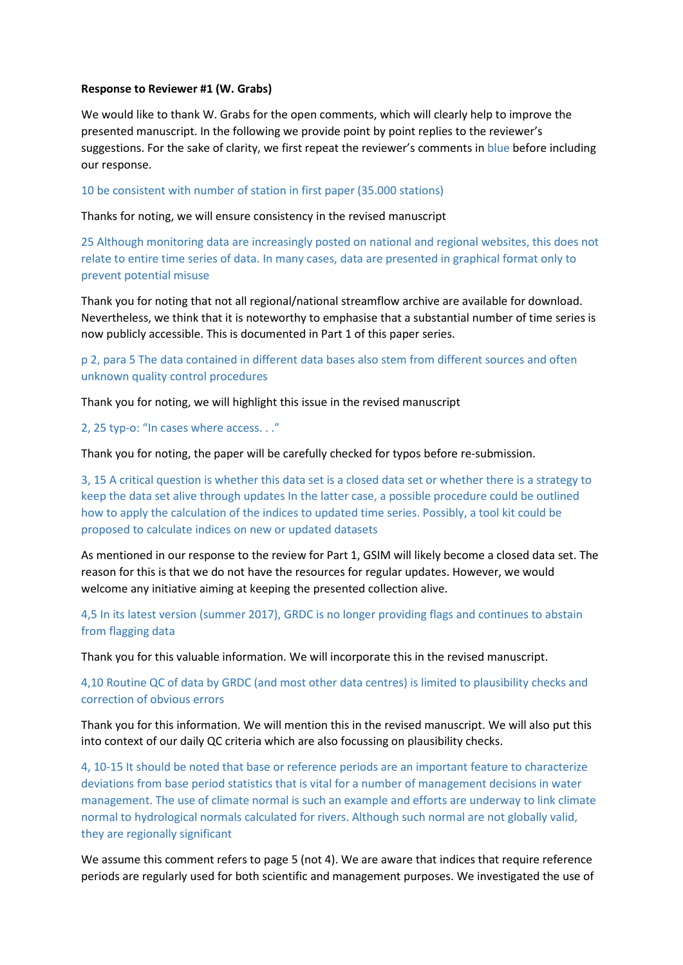# **Response to Reviewer #1 (W. Grabs)**

We would like to thank W. Grabs for the open comments, which will clearly help to improve the presented manuscript. In the following we provide point by point replies to the reviewer's suggestions. For the sake of clarity, we first repeat the reviewer's comments in blue before including our response.

10 be consistent with number of station in first paper (35.000 stations)

Thanks for noting, we will ensure consistency in the revised manuscript

25 Although monitoring data are increasingly posted on national and regional websites, this does not relate to entire time series of data. In many cases, data are presented in graphical format only to prevent potential misuse

Thank you for noting that not all regional/national streamflow archive are available for download. Nevertheless, we think that it is noteworthy to emphasise that a substantial number of time series is now publicly accessible. This is documented in Part 1 of this paper series.

p 2, para 5 The data contained in different data bases also stem from different sources and often unknown quality control procedures

Thank you for noting, we will highlight this issue in the revised manuscript

2, 25 typ-o: "In cases where access. . ."

Thank you for noting, the paper will be carefully checked for typos before re-submission.

3, 15 A critical question is whether this data set is a closed data set or whether there is a strategy to keep the data set alive through updates In the latter case, a possible procedure could be outlined how to apply the calculation of the indices to updated time series. Possibly, a tool kit could be proposed to calculate indices on new or updated datasets

As mentioned in our response to the review for Part 1, GSIM will likely become a closed data set. The reason for this is that we do not have the resources for regular updates. However, we would welcome any initiative aiming at keeping the presented collection alive.

4,5 In its latest version (summer 2017), GRDC is no longer providing flags and continues to abstain from flagging data

Thank you for this valuable information. We will incorporate this in the revised manuscript.

4,10 Routine QC of data by GRDC (and most other data centres) is limited to plausibility checks and correction of obvious errors

Thank you for this information. We will mention this in the revised manuscript. We will also put this into context of our daily QC criteria which are also focussing on plausibility checks.

4, 10-15 It should be noted that base or reference periods are an important feature to characterize deviations from base period statistics that is vital for a number of management decisions in water management. The use of climate normal is such an example and efforts are underway to link climate normal to hydrological normals calculated for rivers. Although such normal are not globally valid, they are regionally significant

We assume this comment refers to page 5 (not 4). We are aware that indices that require reference periods are regularly used for both scientific and management purposes. We investigated the use of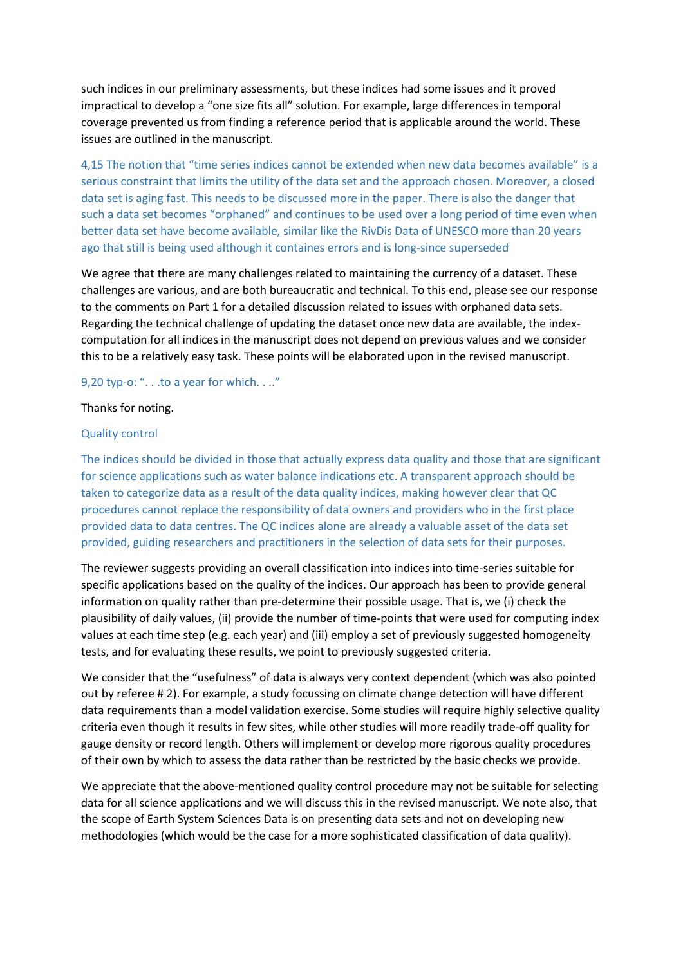such indices in our preliminary assessments, but these indices had some issues and it proved impractical to develop a "one size fits all" solution. For example, large differences in temporal coverage prevented us from finding a reference period that is applicable around the world. These issues are outlined in the manuscript.

4,15 The notion that "time series indices cannot be extended when new data becomes available" is a serious constraint that limits the utility of the data set and the approach chosen. Moreover, a closed data set is aging fast. This needs to be discussed more in the paper. There is also the danger that such a data set becomes "orphaned" and continues to be used over a long period of time even when better data set have become available, similar like the RivDis Data of UNESCO more than 20 years ago that still is being used although it containes errors and is long-since superseded

We agree that there are many challenges related to maintaining the currency of a dataset. These challenges are various, and are both bureaucratic and technical. To this end, please see our response to the comments on Part 1 for a detailed discussion related to issues with orphaned data sets. Regarding the technical challenge of updating the dataset once new data are available, the indexcomputation for all indices in the manuscript does not depend on previous values and we consider this to be a relatively easy task. These points will be elaborated upon in the revised manuscript.

# 9,20 typ-o: ". . .to a year for which. . .."

### Thanks for noting.

### Quality control

The indices should be divided in those that actually express data quality and those that are significant for science applications such as water balance indications etc. A transparent approach should be taken to categorize data as a result of the data quality indices, making however clear that QC procedures cannot replace the responsibility of data owners and providers who in the first place provided data to data centres. The QC indices alone are already a valuable asset of the data set provided, guiding researchers and practitioners in the selection of data sets for their purposes.

The reviewer suggests providing an overall classification into indices into time-series suitable for specific applications based on the quality of the indices. Our approach has been to provide general information on quality rather than pre-determine their possible usage. That is, we (i) check the plausibility of daily values, (ii) provide the number of time-points that were used for computing index values at each time step (e.g. each year) and (iii) employ a set of previously suggested homogeneity tests, and for evaluating these results, we point to previously suggested criteria.

We consider that the "usefulness" of data is always very context dependent (which was also pointed out by referee # 2). For example, a study focussing on climate change detection will have different data requirements than a model validation exercise. Some studies will require highly selective quality criteria even though it results in few sites, while other studies will more readily trade-off quality for gauge density or record length. Others will implement or develop more rigorous quality procedures of their own by which to assess the data rather than be restricted by the basic checks we provide.

We appreciate that the above-mentioned quality control procedure may not be suitable for selecting data for all science applications and we will discuss this in the revised manuscript. We note also, that the scope of Earth System Sciences Data is on presenting data sets and not on developing new methodologies (which would be the case for a more sophisticated classification of data quality).